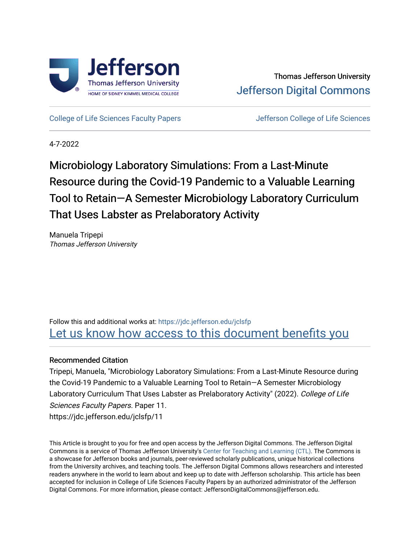

[College of Life Sciences Faculty Papers](https://jdc.jefferson.edu/jclsfp) **Jefferson College of Life Sciences** 

4-7-2022

# Microbiology Laboratory Simulations: From a Last-Minute Resource during the Covid-19 Pandemic to a Valuable Learning Tool to Retain-A Semester Microbiology Laboratory Curriculum That Uses Labster as Prelaboratory Activity

Manuela Tripepi Thomas Jefferson University

Follow this and additional works at: [https://jdc.jefferson.edu/jclsfp](https://jdc.jefferson.edu/jclsfp?utm_source=jdc.jefferson.edu%2Fjclsfp%2F11&utm_medium=PDF&utm_campaign=PDFCoverPages) Let us know how access to this document benefits you

# Recommended Citation

Tripepi, Manuela, "Microbiology Laboratory Simulations: From a Last-Minute Resource during the Covid-19 Pandemic to a Valuable Learning Tool to Retain—A Semester Microbiology Laboratory Curriculum That Uses Labster as Prelaboratory Activity" (2022). College of Life Sciences Faculty Papers. Paper 11. https://jdc.jefferson.edu/jclsfp/11

This Article is brought to you for free and open access by the Jefferson Digital Commons. The Jefferson Digital Commons is a service of Thomas Jefferson University's [Center for Teaching and Learning \(CTL\)](http://www.jefferson.edu/university/teaching-learning.html/). The Commons is a showcase for Jefferson books and journals, peer-reviewed scholarly publications, unique historical collections from the University archives, and teaching tools. The Jefferson Digital Commons allows researchers and interested readers anywhere in the world to learn about and keep up to date with Jefferson scholarship. This article has been accepted for inclusion in College of Life Sciences Faculty Papers by an authorized administrator of the Jefferson Digital Commons. For more information, please contact: JeffersonDigitalCommons@jefferson.edu.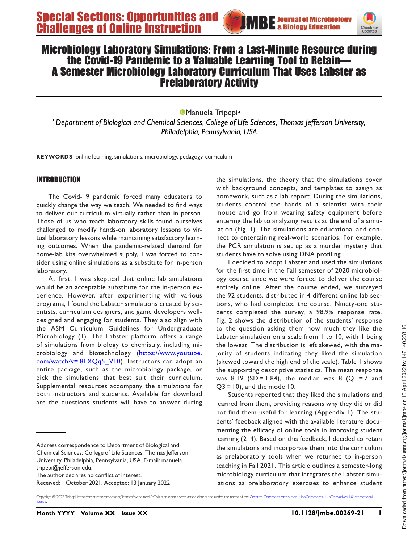

# Microbiology Laboratory Simulations: From a Last-Minute Resource during A Semester Microbiology Laboratory Curriculum That Uses Labster as Prelaboratory Activity

**[Manuela Tripepia](https://orcid.org/0000-0002-1275-7380)** <sup>a</sup>Department of Biological and Chemical Sciences, College of Life Sciences, Thomas Jefferson University, Philadelphia, Pennsylvania, USA

KEYWORDS online learning, simulations, microbiology, pedagogy, curriculum

## INTRODUCTION

The Covid-19 pandemic forced many educators to quickly change the way we teach. We needed to find ways to deliver our curriculum virtually rather than in person. Those of us who teach laboratory skills found ourselves challenged to modify hands-on laboratory lessons to virtual laboratory lessons while maintaining satisfactory learning outcomes. When the pandemic-related demand for home-lab kits overwhelmed supply, I was forced to consider using online simulations as a substitute for in-person laboratory.

At first, I was skeptical that online lab simulations would be an acceptable substitute for the in-person experience. However, after experimenting with various programs, I found the Labster simulations created by scientists, curriculum designers, and game developers welldesigned and engaging for students. They also align with the ASM Curriculum Guidelines for Undergraduate Microbiology [\(1\)](#page-7-0). The Labster platform offers a range of simulations from biology to chemistry, including microbiology and biotechnology ([https://www.youtube.](https://www.youtube.com/watch?v=l8LXQq5_VL0) [com/watch?v=l8LXQq5\\_VL0\)](https://www.youtube.com/watch?v=l8LXQq5_VL0). Instructors can adopt an entire package, such as the microbiology package, or pick the simulations that best suit their curriculum. Supplemental resources accompany the simulations for both instructors and students. Available for download are the questions students will have to answer during

Address correspondence to Department of Biological and Chemical Sciences, College of Life Sciences, Thomas Jefferson University, Philadelphia, Pennsylvania, USA. E-mail: [manuela.](mailto:manuela.tripepi@jefferson.edu) [tripepi@jefferson.edu.](mailto:manuela.tripepi@jefferson.edu)

Received: 1 October 2021, Accepted: 13 January 2022

the simulations, the theory that the simulations cover with background concepts, and templates to assign as homework, such as a lab report. During the simulations, students control the hands of a scientist with their mouse and go from wearing safety equipment before entering the lab to analyzing results at the end of a simulation ([Fig. 1](#page-2-0)). The simulations are educational and connect to entertaining real-world scenarios. For example, the PCR simulation is set up as a murder mystery that students have to solve using DNA profiling.

I decided to adopt Labster and used the simulations for the first time in the Fall semester of 2020 microbiology course since we were forced to deliver the course entirely online. After the course ended, we surveyed the 92 students, distributed in 4 different online lab sections, who had completed the course. Ninety-one students completed the survey, a 98.9% response rate. [Fig. 2](#page-3-0) shows the distribution of the students' response to the question asking them how much they like the Labster simulation on a scale from 1 to 10, with 1 being the lowest. The distribution is left skewed, with the majority of students indicating they liked the simulation (skewed toward the high end of the scale). [Table 1](#page-3-1) shows the supporting descriptive statistics. The mean response was 8.19 (SD = 1.84), the median was 8 (Q1 = 7 and  $Q3 = 10$ , and the mode 10.

Students reported that they liked the simulations and learned from them, providing reasons why they did or did not find them useful for learning (Appendix 1). The students' feedback aligned with the available literature documenting the efficacy of online tools in improving student learning ([2](#page-7-1)[–](#page-7-2)[4](#page-7-3)). Based on this feedback, I decided to retain the simulations and incorporate them into the curriculum as prelaboratory tools when we returned to in-person teaching in Fall 2021. This article outlines a semester-long microbiology curriculum that integrates the Labster simulations as prelaboratory exercises to enhance student

Copyright © 2022 Tripepi. https://creativecommons.org/licenses/by-nc-nd/4.0/This is an open-access article distributed under the terms of the [Creative Commons Attribution-NonCommercial-NoDerivatives 4.0 International](https://creativecommons.org/licenses/by-nc-nd/4.0/) licens

The author declares no conflict of interest.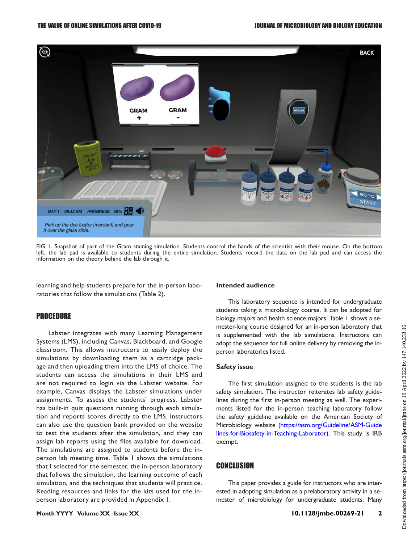

<span id="page-2-0"></span>FIG 1. Snapshot of part of the Gram staining simulation. Students control the hands of the scientist with their mouse. On the bottom left, the lab pad is available to students during the entire simulation. Students record the data on the lab pad and can access the information on the theory behind the lab through it.

learning and help students prepare for the in-person laboratories that follow the simulations ([Table 2](#page-4-0)).

### PROCEDURE

Labster integrates with many Learning Management Systems (LMS), including Canvas, Blackboard, and Google classroom. This allows instructors to easily deploy the simulations by downloading them as a cartridge package and then uploading them into the LMS of choice. The students can access the simulations in their LMS and are not required to login via the Labster website. For example, Canvas displays the Labster simulations under assignments. To assess the students' progress, Labster has built-in quiz questions running through each simulation and reports scores directly to the LMS. Instructors can also use the question bank provided on the website to test the students after the simulation, and they can assign lab reports using the files available for download. The simulations are assigned to students before the inperson lab meeting time. [Table 1](#page-3-1) shows the simulations that I selected for the semester, the in-person laboratory that follows the simulation, the learning outcome of each simulation, and the techniques that students will practice. Reading resources and links for the kits used for the inperson laboratory are provided in Appendix 1.

#### Intended audience

This laboratory sequence is intended for undergraduate students taking a microbiology course. It can be adopted for biology majors and health science majors. [Table 1](#page-3-1) shows a semester-long course designed for an in-person laboratory that is supplemented with the lab simulations. Instructors can adopt the sequence for full online delivery by removing the inperson laboratories listed.

#### Safety issue

The first simulation assigned to the students is the lab safety simulation. The instructor reiterates lab safety guidelines during the first in-person meeting as well. The experiments listed for the in-person teaching laboratory follow the safety guideline available on the American Society of Microbiology website [\(https://asm.org/Guideline/ASM-Guide](https://asm.org/Guideline/ASM-Guidelines-for-Biosafety-in-Teaching-Laborator) [lines-for-Biosafety-in-Teaching-Laborator\)](https://asm.org/Guideline/ASM-Guidelines-for-Biosafety-in-Teaching-Laborator). This study is IRB exempt.

## **CONCLUSION**

This paper provides a guide for instructors who are interested in adopting simulation as a prelaboratory activity in a semester of microbiology for undergraduate students. Many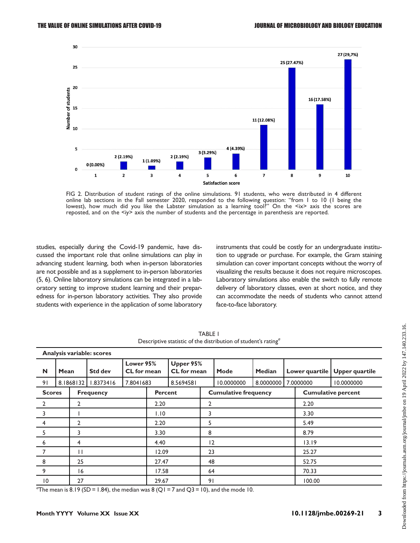

<span id="page-3-0"></span>FIG 2. Distribution of student ratings of the online simulations. 91 students, who were distributed in 4 different online lab sections in the Fall semester 2020, responded to the following question: "from 1 to 10 (1 being the lowest), how much did you like the Labster simulation as a learning tool?" On the <ix> axis the scores are reposted, and on the <iy> axis the number of students and the percentage in parenthesis are reported.

studies, especially during the Covid-19 pandemic, have discussed the important role that online simulations can play in advancing student learning, both when in-person laboratories are not possible and as a supplement to in-person laboratories [\(5,](#page-7-4) [6](#page-7-5)). Online laboratory simulations can be integrated in a laboratory setting to improve student learning and their preparedness for in-person laboratory activities. They also provide students with experience in the application of some laboratory

instruments that could be costly for an undergraduate institution to upgrade or purchase. For example, the Gram staining simulation can cover important concepts without the worry of visualizing the results because it does not require microscopes. Laboratory simulations also enable the switch to fully remote delivery of laboratory classes, even at short notice, and they can accommodate the needs of students who cannot attend face-to-face laboratory.

| Analysis variable: scores |               |           |                  |                          |                |                                 |                             |            |                           |           |                |                       |
|---------------------------|---------------|-----------|------------------|--------------------------|----------------|---------------------------------|-----------------------------|------------|---------------------------|-----------|----------------|-----------------------|
| N                         | Mean          |           | <b>Std dev</b>   | Lower 95%<br>CL for mean |                | Upper 95%<br><b>CL</b> for mean |                             | Mode       | Median                    |           | Lower quartile | <b>Upper quartile</b> |
| 91                        |               | 8.1868132 | 1.8373416        | 7.8041683                |                | 8.5694581                       |                             | 10.0000000 | 8.0000000                 | 7.0000000 |                | 10.0000000            |
|                           | <b>Scores</b> |           | <b>Frequency</b> |                          | <b>Percent</b> |                                 | <b>Cumulative frequency</b> |            | <b>Cumulative percent</b> |           |                |                       |
| $\overline{2}$            |               | 2         |                  |                          | 2.20           |                                 | 2                           |            |                           |           | 2.20           |                       |
| $\overline{3}$            |               |           |                  | 1.10                     |                | 3                               |                             |            | 3.30                      |           |                |                       |
| 4                         |               | 2         |                  | 2.20                     |                | 5                               |                             |            | 5.49                      |           |                |                       |
| 5                         |               | 3         |                  |                          | 3.30           |                                 | 8                           |            |                           |           | 8.79           |                       |
| 6                         |               | 4         |                  |                          | 4.40           |                                 | 12                          |            |                           |           | 13.19          |                       |
| 7                         | Н             |           | 12.09            |                          | 23             |                                 |                             | 25.27      |                           |           |                |                       |
| 8                         |               | 25        |                  | 27.47                    |                |                                 | 48                          |            |                           | 52.75     |                |                       |
| 9                         |               | 16        |                  | 17.58                    |                | 64                              |                             |            | 70.33                     |           |                |                       |
| 0                         |               | 27        |                  | 29.67                    |                | 91                              |                             |            | 100.00                    |           |                |                       |

TABLE 1 Descriptive statistic of the distribution of student's rating<sup>a</sup>

<span id="page-3-1"></span>"The mean is 8.19 (SD = 1.84), the median was 8 (Q1 = 7 and Q3 = 10), and the mode 10.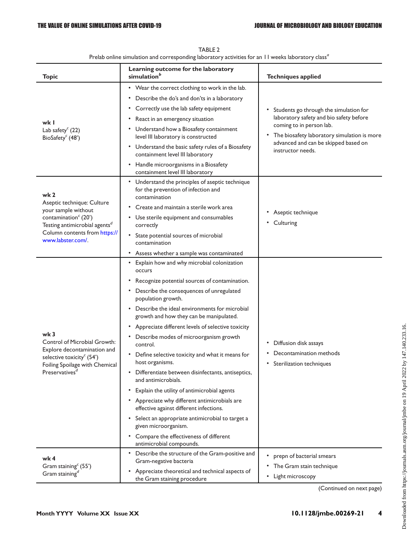<span id="page-4-0"></span>

| <b>Topic</b>                                                                                           | Learning outcome for the laboratory<br>simulation <sup>b</sup>                                           | <b>Techniques applied</b>                                                                                                                                                                                                 |  |  |
|--------------------------------------------------------------------------------------------------------|----------------------------------------------------------------------------------------------------------|---------------------------------------------------------------------------------------------------------------------------------------------------------------------------------------------------------------------------|--|--|
|                                                                                                        | • Wear the correct clothing to work in the lab.                                                          | Students go through the simulation for<br>laboratory safety and bio safety before<br>coming to in person lab.<br>The biosafety laboratory simulation is more<br>advanced and can be skipped based on<br>instructor needs. |  |  |
|                                                                                                        | • Describe the do's and don'ts in a laboratory                                                           |                                                                                                                                                                                                                           |  |  |
|                                                                                                        | • Correctly use the lab safety equipment                                                                 |                                                                                                                                                                                                                           |  |  |
| wk I                                                                                                   | • React in an emergency situation                                                                        |                                                                                                                                                                                                                           |  |  |
| Lab safety <sup>c</sup> (22)<br>BioSafety <sup>c</sup> (48')                                           | • Understand how a Biosafety containment<br>level III laboratory is constructed                          |                                                                                                                                                                                                                           |  |  |
|                                                                                                        | • Understand the basic safety rules of a Biosafety<br>containment level III laboratory                   |                                                                                                                                                                                                                           |  |  |
|                                                                                                        | • Handle microorganisms in a Biosafety<br>containment level III laboratory                               |                                                                                                                                                                                                                           |  |  |
| wk <sub>2</sub>                                                                                        | • Understand the principles of aseptic technique<br>for the prevention of infection and<br>contamination |                                                                                                                                                                                                                           |  |  |
| Aseptic technique: Culture<br>your sample without                                                      | Create and maintain a sterile work area                                                                  |                                                                                                                                                                                                                           |  |  |
| contamination <sup>c</sup> (20')<br>Testing antimicrobial agents <sup>d</sup>                          | • Use sterile equipment and consumables<br>correctly                                                     | Aseptic technique<br>Culturing                                                                                                                                                                                            |  |  |
| Column contents from https://<br>www.labster.com/.                                                     | State potential sources of microbial<br>٠<br>contamination                                               |                                                                                                                                                                                                                           |  |  |
|                                                                                                        | Assess whether a sample was contaminated                                                                 |                                                                                                                                                                                                                           |  |  |
|                                                                                                        | Explain how and why microbial colonization<br>occurs                                                     |                                                                                                                                                                                                                           |  |  |
|                                                                                                        | Recognize potential sources of contamination.                                                            |                                                                                                                                                                                                                           |  |  |
|                                                                                                        | • Describe the consequences of unregulated<br>population growth.                                         |                                                                                                                                                                                                                           |  |  |
|                                                                                                        | • Describe the ideal environments for microbial<br>growth and how they can be manipulated.               |                                                                                                                                                                                                                           |  |  |
|                                                                                                        | Appreciate different levels of selective toxicity                                                        |                                                                                                                                                                                                                           |  |  |
| wk 3<br>Control of Microbial Growth:                                                                   | Describe modes of microorganism growth<br>control.                                                       | Diffusion disk assays                                                                                                                                                                                                     |  |  |
| Explore decontamination and<br>selective toxicity <sup>c</sup> (54')<br>Foiling Spoilage with Chemical | Define selective toxicity and what it means for<br>٠<br>host organisms.                                  | Decontamination methods<br>Sterilization techniques                                                                                                                                                                       |  |  |
| Preservatives <sup>d</sup>                                                                             | Differentiate between disinfectants, antiseptics,<br>and antimicrobials.                                 |                                                                                                                                                                                                                           |  |  |
|                                                                                                        | Explain the utility of antimicrobial agents                                                              |                                                                                                                                                                                                                           |  |  |
|                                                                                                        | Appreciate why different antimicrobials are<br>effective against different infections.                   |                                                                                                                                                                                                                           |  |  |
|                                                                                                        | Select an appropriate antimicrobial to target a<br>٠<br>given microorganism.                             |                                                                                                                                                                                                                           |  |  |
|                                                                                                        | Compare the effectiveness of different<br>۰.<br>antimicrobial compounds.                                 |                                                                                                                                                                                                                           |  |  |
| wk 4                                                                                                   | • Describe the structure of the Gram-positive and<br>Gram-negative bacteria                              | prepn of bacterial smears                                                                                                                                                                                                 |  |  |
| Gram staining <sup>c</sup> (55')<br>Gram staining <sup>d</sup>                                         | Appreciate theoretical and technical aspects of<br>٠                                                     | The Gram stain technique<br>٠<br>Light microscopy<br>٠                                                                                                                                                                    |  |  |
|                                                                                                        | the Gram staining procedure                                                                              |                                                                                                                                                                                                                           |  |  |

| TABLE 2                                                                                                      |  |
|--------------------------------------------------------------------------------------------------------------|--|
| Prelab online simulation and corresponding laboratory activities for an 11 weeks laboratory class $^{\it a}$ |  |

(Continued on next page)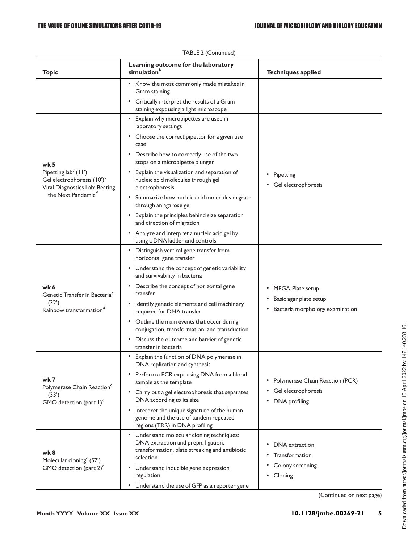| Topic                                                                                                                                                | Learning outcome for the laboratory<br>simulation <sup>b</sup>                                                                                                                                                                                                                                                                                                                                                                                                               | <b>Techniques applied</b>                                                     |  |  |
|------------------------------------------------------------------------------------------------------------------------------------------------------|------------------------------------------------------------------------------------------------------------------------------------------------------------------------------------------------------------------------------------------------------------------------------------------------------------------------------------------------------------------------------------------------------------------------------------------------------------------------------|-------------------------------------------------------------------------------|--|--|
|                                                                                                                                                      | • Know the most commonly made mistakes in<br>Gram staining                                                                                                                                                                                                                                                                                                                                                                                                                   |                                                                               |  |  |
|                                                                                                                                                      | • Critically interpret the results of a Gram<br>staining expt using a light microscope                                                                                                                                                                                                                                                                                                                                                                                       |                                                                               |  |  |
| wk 5<br>Pipetting $\text{lab}^c$ (11')<br>Gel electrophoresis (10') <sup>c</sup><br>Viral Diagnostics Lab: Beating<br>the Next Pandemic <sup>d</sup> | • Explain why micropipettes are used in<br>laboratory settings<br>• Choose the correct pipettor for a given use<br>case<br>Describe how to correctly use of the two<br>٠<br>stops on a micropipette plunger<br>Explain the visualization and separation of<br>nucleic acid molecules through gel<br>electrophoresis<br>Summarize how nucleic acid molecules migrate<br>٠<br>through an agarose gel                                                                           | • Pipetting<br>Gel electrophoresis                                            |  |  |
|                                                                                                                                                      | Explain the principles behind size separation<br>$\bullet$<br>and direction of migration<br>• Analyze and interpret a nucleic acid gel by<br>using a DNA ladder and controls                                                                                                                                                                                                                                                                                                 |                                                                               |  |  |
| wk 6<br>Genetic Transfer in Bacteria <sup>c</sup><br>(32')<br>Rainbow transformation <sup>d</sup>                                                    | • Distinguish vertical gene transfer from<br>horizontal gene transfer<br>• Understand the concept of genetic variability<br>and survivability in bacteria<br>Describe the concept of horizontal gene<br>٠<br>transfer<br>• Identify genetic elements and cell machinery<br>required for DNA transfer<br>• Outline the main events that occur during<br>conjugation, transformation, and transduction<br>• Discuss the outcome and barrier of genetic<br>transfer in bacteria | MEGA-Plate setup<br>Basic agar plate setup<br>Bacteria morphology examination |  |  |
| wk 7<br>Polymerase Chain Reaction <sup>c</sup><br>(33')<br>GMO detection (part $I)^d$                                                                | Explain the function of DNA polymerase in<br>DNA replication and synthesis<br>• Perform a PCR expt using DNA from a blood<br>sample as the template<br>• Carry out a gel electrophoresis that separates<br>DNA according to its size<br>Interpret the unique signature of the human<br>$\bullet$<br>genome and the use of tandem repeated<br>regions (TRR) in DNA profiling                                                                                                  | • Polymerase Chain Reaction (PCR)<br>Gel electrophoresis<br>• DNA profiling   |  |  |
| wk 8<br>Molecular cloning <sup>c</sup> (57')<br>GMO detection (part $2)^d$                                                                           | • Understand molecular cloning techniques:<br>DNA extraction and prepn, ligation,<br>transformation, plate streaking and antibiotic<br>selection<br>• Understand inducible gene expression<br>regulation<br>• Understand the use of GFP as a reporter gene                                                                                                                                                                                                                   | DNA extraction<br>Transformation<br>Colony screening<br>• Cloning             |  |  |

|  | TABLE 2 (Continued) |
|--|---------------------|
|--|---------------------|

(Continued on next page)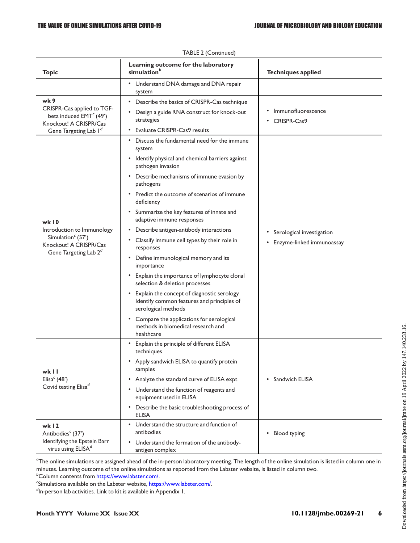| <b>Topic</b>                                                                                                                           | Learning outcome for the laboratory<br>simulation <sup>b</sup>                                                                                                                                                                                                                                                                                                                                                                                                                                                                                                                                                                                                                                                                                                                                                                             | <b>Techniques applied</b>                              |  |  |
|----------------------------------------------------------------------------------------------------------------------------------------|--------------------------------------------------------------------------------------------------------------------------------------------------------------------------------------------------------------------------------------------------------------------------------------------------------------------------------------------------------------------------------------------------------------------------------------------------------------------------------------------------------------------------------------------------------------------------------------------------------------------------------------------------------------------------------------------------------------------------------------------------------------------------------------------------------------------------------------------|--------------------------------------------------------|--|--|
|                                                                                                                                        | • Understand DNA damage and DNA repair<br>system                                                                                                                                                                                                                                                                                                                                                                                                                                                                                                                                                                                                                                                                                                                                                                                           |                                                        |  |  |
| wk 9<br>CRISPR-Cas applied to TGF-<br>beta induced EMT <sup>c</sup> (49')<br>Knockout! A CRISPR/Cas<br>Gene Targeting Lab Id           | • Describe the basics of CRISPR-Cas technique<br>Design a guide RNA construct for knock-out<br>strategies<br><b>Evaluate CRISPR-Cas9 results</b><br>٠                                                                                                                                                                                                                                                                                                                                                                                                                                                                                                                                                                                                                                                                                      | Immunofluorescence<br>CRISPR-Cas9                      |  |  |
| wk 10<br>Introduction to Immunology<br>Simulation <sup><math>c</math></sup> (57')<br>Knockout! A CRISPR/Cas<br>Gene Targeting Lab $2d$ | Discuss the fundamental need for the immune<br>system<br>• Identify physical and chemical barriers against<br>pathogen invasion<br>• Describe mechanisms of immune evasion by<br>pathogens<br>• Predict the outcome of scenarios of immune<br>deficiency<br>• Summarize the key features of innate and<br>adaptive immune responses<br>Describe antigen-antibody interactions<br>٠<br>Classify immune cell types by their role in<br>$\bullet$<br>responses<br>Define immunological memory and its<br>٠<br>importance<br>• Explain the importance of lymphocyte clonal<br>selection & deletion processes<br>Explain the concept of diagnostic serology<br>$\bullet$<br>Identify common features and principles of<br>serological methods<br>• Compare the applications for serological<br>methods in biomedical research and<br>healthcare | Serological investigation<br>Enzyme-linked immunoassay |  |  |
| wk II<br>Elisa <sup>c</sup> (48')<br>Covid testing Elisa <sup>d</sup>                                                                  | • Explain the principle of different ELISA<br>techniques<br>Apply sandwich ELISA to quantify protein<br>٠<br>samples<br>• Analyze the standard curve of ELISA expt<br>Understand the function of reagents and<br>$\bullet$<br>equipment used in ELISA<br>• Describe the basic troubleshooting process of<br><b>ELISA</b>                                                                                                                                                                                                                                                                                                                                                                                                                                                                                                                   | Sandwich ELISA                                         |  |  |
| wk $12$<br>Antibodies <sup>c</sup> (37')<br>Identifying the Epstein Barr<br>virus using ELISAd                                         | • Understand the structure and function of<br>antibodies<br>• Understand the formation of the antibody-<br>antigen complex                                                                                                                                                                                                                                                                                                                                                                                                                                                                                                                                                                                                                                                                                                                 | Blood typing                                           |  |  |

 $^a$ The online simulations are assigned ahead of the in-person laboratory meeting. The length of the online simulation is listed in column one in minutes. Learning outcome of the online simulations as reported from the Labster website, is listed in column two.

 $b$ Column contents from <https://www.labster.com/>.<br>"Simulations available on the Labster website, https://

<sup>c</sup>Simulations available on the Labster website, [https://www.labster.com/.](https://www.labster.com/)

 $\mathrm{d}$ In-person lab activities. Link to kit is available in Appendix 1.